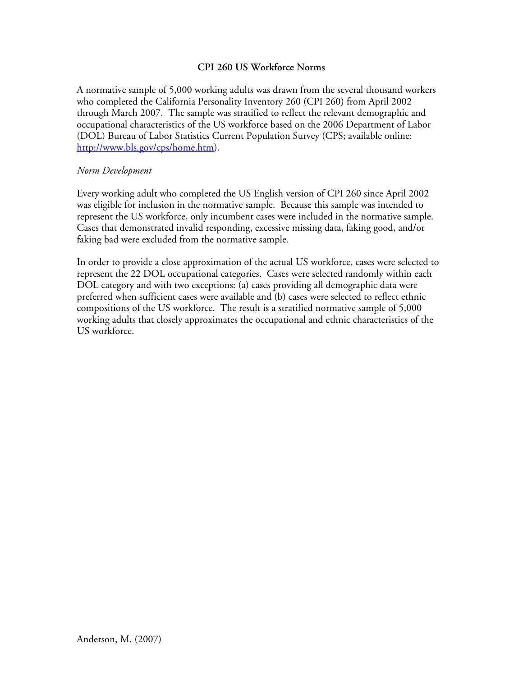## **CPI 260 US Workforce Norms**

A normative sample of 5,000 working adults was drawn from the several thousand workers who completed the California Personality Inventory 260 (CPI 260) from April 2002 through March 2007. The sample was stratified to reflect the relevant demographic and occupational characteristics of the US workforce based on the 2006 Department of Labor (DOL) Bureau of Labor Statistics Current Population Survey (CPS; available online: http://www.bls.gov/cps/home.htm).

### *Norm Development*

Every working adult who completed the US English version of CPI 260 since April 2002 was eligible for inclusion in the normative sample. Because this sample was intended to represent the US workforce, only incumbent cases were included in the normative sample. Cases that demonstrated invalid responding, excessive missing data, faking good, and/or faking bad were excluded from the normative sample.

In order to provide a close approximation of the actual US workforce, cases were selected to represent the 22 DOL occupational categories. Cases were selected randomly within each DOL category and with two exceptions: (a) cases providing all demographic data were preferred when sufficient cases were available and (b) cases were selected to reflect ethnic compositions of the US workforce. The result is a stratified normative sample of 5,000 working adults that closely approximates the occupational and ethnic characteristics of the US workforce.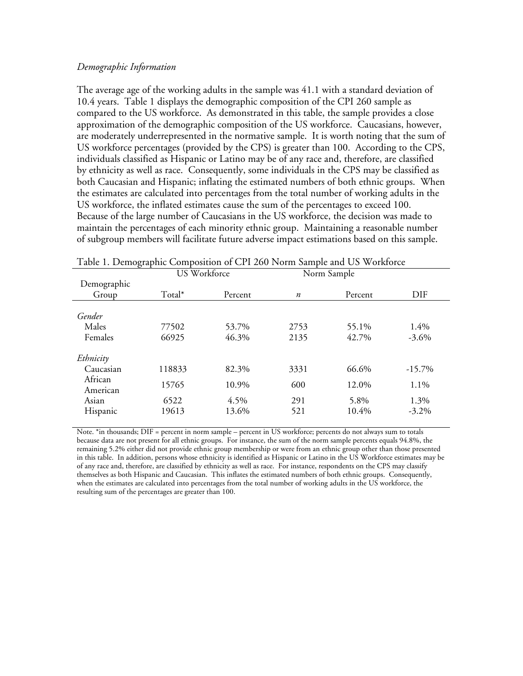#### *Demographic Information*

The average age of the working adults in the sample was 41.1 with a standard deviation of 10.4 years. Table 1 displays the demographic composition of the CPI 260 sample as compared to the US workforce. As demonstrated in this table, the sample provides a close approximation of the demographic composition of the US workforce. Caucasians, however, are moderately underrepresented in the normative sample. It is worth noting that the sum of US workforce percentages (provided by the CPS) is greater than 100. According to the CPS, individuals classified as Hispanic or Latino may be of any race and, therefore, are classified by ethnicity as well as race. Consequently, some individuals in the CPS may be classified as both Caucasian and Hispanic; inflating the estimated numbers of both ethnic groups. When the estimates are calculated into percentages from the total number of working adults in the US workforce, the inflated estimates cause the sum of the percentages to exceed 100. Because of the large number of Caucasians in the US workforce, the decision was made to maintain the percentages of each minority ethnic group. Maintaining a reasonable number of subgroup members will facilitate future adverse impact estimations based on this sample.

|             | US Workforce |         | Norm Sample      |         |           |
|-------------|--------------|---------|------------------|---------|-----------|
| Demographic |              |         |                  |         |           |
| Group       | Total*       | Percent | $\boldsymbol{n}$ | Percent | DIF       |
|             |              |         |                  |         |           |
| Gender      |              |         |                  |         |           |
| Males       | 77502        | 53.7%   | 2753             | 55.1%   | 1.4%      |
| Females     | 66925        | 46.3%   | 2135             | 42.7%   | $-3.6\%$  |
|             |              |         |                  |         |           |
| Ethnicity   |              |         |                  |         |           |
| Caucasian   | 118833       | 82.3%   | 3331             | 66.6%   | $-15.7\%$ |
| African     | 15765        | 10.9%   | 600              | 12.0%   | 1.1%      |
| American    |              |         |                  |         |           |
| Asian       | 6522         | 4.5%    | 291              | 5.8%    | 1.3%      |
| Hispanic    | 19613        | 13.6%   | 521              | 10.4%   | $-3.2\%$  |
|             |              |         |                  |         |           |

Table 1. Demographic Composition of CPI 260 Norm Sample and US Workforce

Note. \*in thousands; DIF = percent in norm sample – percent in US workforce; percents do not always sum to totals because data are not present for all ethnic groups. For instance, the sum of the norm sample percents equals 94.8%, the remaining 5.2% either did not provide ethnic group membership or were from an ethnic group other than those presented in this table. In addition, persons whose ethnicity is identified as Hispanic or Latino in the US Workforce estimates may be of any race and, therefore, are classified by ethnicity as well as race. For instance, respondents on the CPS may classify themselves as both Hispanic and Caucasian. This inflates the estimated numbers of both ethnic groups. Consequently, when the estimates are calculated into percentages from the total number of working adults in the US workforce, the resulting sum of the percentages are greater than 100.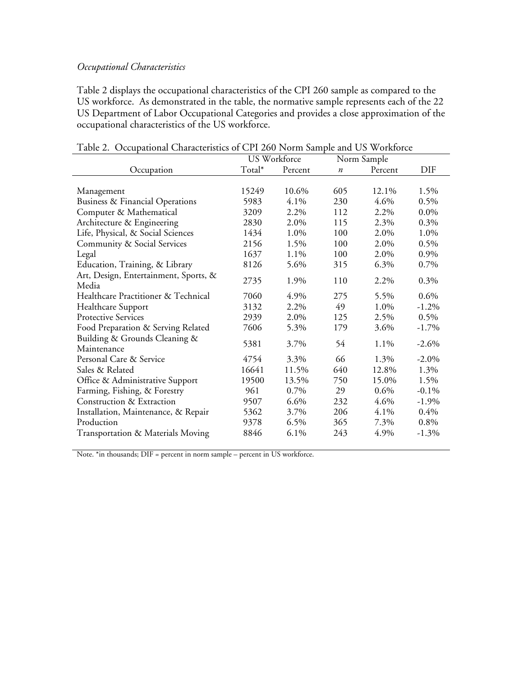# *Occupational Characteristics*

Table 2 displays the occupational characteristics of the CPI 260 sample as compared to the US workforce. As demonstrated in the table, the normative sample represents each of the 22 US Department of Labor Occupational Categories and provides a close approximation of the occupational characteristics of the US workforce.

| Occupational Characteristics of CIT200 From bampic and CO WOIKIOICC |        | US Workforce | Norm Sample      |         |            |
|---------------------------------------------------------------------|--------|--------------|------------------|---------|------------|
| Occupation                                                          | Total* | Percent      | $\boldsymbol{n}$ | Percent | <b>DIF</b> |
|                                                                     |        |              |                  |         |            |
| Management                                                          | 15249  | 10.6%        | 605              | 12.1%   | 1.5%       |
| Business & Financial Operations                                     | 5983   | 4.1%         | 230              | 4.6%    | 0.5%       |
| Computer & Mathematical                                             | 3209   | 2.2%         | 112              | 2.2%    | $0.0\%$    |
| Architecture & Engineering                                          | 2830   | 2.0%         | 115              | 2.3%    | 0.3%       |
| Life, Physical, & Social Sciences                                   | 1434   | 1.0%         | 100              | 2.0%    | 1.0%       |
| Community & Social Services                                         | 2156   | 1.5%         | 100              | 2.0%    | 0.5%       |
| Legal                                                               | 1637   | 1.1%         | 100              | 2.0%    | 0.9%       |
| Education, Training, & Library                                      | 8126   | 5.6%         | 315              | 6.3%    | 0.7%       |
| Art, Design, Entertainment, Sports, &<br>Media                      | 2735   | 1.9%         | 110              | 2.2%    | 0.3%       |
| Healthcare Practitioner & Technical                                 | 7060   | 4.9%         | 275              | 5.5%    | 0.6%       |
| Healthcare Support                                                  | 3132   | 2.2%         | 49               | 1.0%    | $-1.2%$    |
| <b>Protective Services</b>                                          | 2939   | 2.0%         | 125              | 2.5%    | 0.5%       |
| Food Preparation & Serving Related                                  | 7606   | 5.3%         | 179              | 3.6%    | $-1.7\%$   |
| Building & Grounds Cleaning &<br>Maintenance                        | 5381   | 3.7%         | 54               | 1.1%    | $-2.6%$    |
| Personal Care & Service                                             | 4754   | 3.3%         | 66               | 1.3%    | $-2.0\%$   |
| Sales & Related                                                     | 16641  | 11.5%        | 640              | 12.8%   | 1.3%       |
| Office & Administrative Support                                     | 19500  | 13.5%        | 750              | 15.0%   | 1.5%       |
| Farming, Fishing, & Forestry                                        | 961    | 0.7%         | 29               | $0.6\%$ | $-0.1\%$   |
| Construction & Extraction                                           | 9507   | $6.6\%$      | 232              | 4.6%    | $-1.9\%$   |
| Installation, Maintenance, & Repair                                 | 5362   | 3.7%         | 206              | 4.1%    | 0.4%       |
| Production                                                          | 9378   | $6.5\%$      | 365              | 7.3%    | 0.8%       |
| Transportation & Materials Moving                                   | 8846   | 6.1%         | 243              | 4.9%    | $-1.3%$    |

|  |  | Table 2. Occupational Characteristics of CPI 260 Norm Sample and US Workforce |  |  |  |  |
|--|--|-------------------------------------------------------------------------------|--|--|--|--|
|--|--|-------------------------------------------------------------------------------|--|--|--|--|

Note. \*in thousands; DIF = percent in norm sample – percent in US workforce.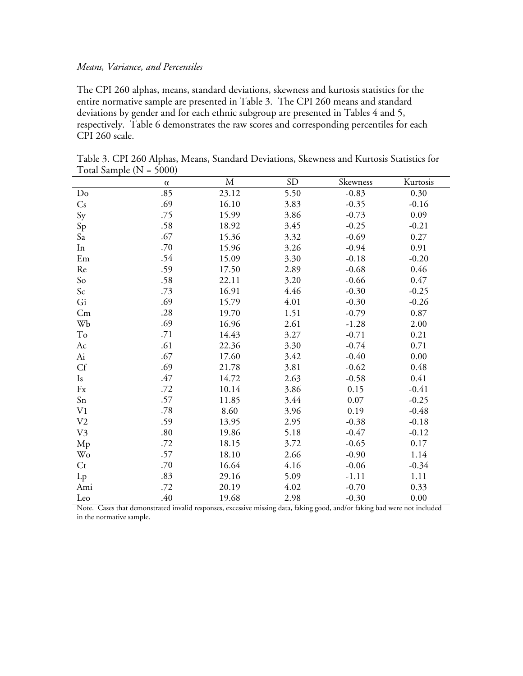#### *Means, Variance, and Percentiles*

The CPI 260 alphas, means, standard deviations, skewness and kurtosis statistics for the entire normative sample are presented in Table 3. The CPI 260 means and standard deviations by gender and for each ethnic subgroup are presented in Tables 4 and 5, respectively. Table 6 demonstrates the raw scores and corresponding percentiles for each CPI 260 scale.

|                | $\alpha$ | M     | <b>SD</b> | Skewness | Kurtosis |
|----------------|----------|-------|-----------|----------|----------|
| Do             | .85      | 23.12 | 5.50      | $-0.83$  | 0.30     |
| Cs             | .69      | 16.10 | 3.83      | $-0.35$  | $-0.16$  |
| Sy             | .75      | 15.99 | 3.86      | $-0.73$  | 0.09     |
| Sp             | .58      | 18.92 | 3.45      | $-0.25$  | $-0.21$  |
| Sa             | .67      | 15.36 | 3.32      | $-0.69$  | 0.27     |
| In             | .70      | 15.96 | 3.26      | $-0.94$  | 0.91     |
| Em             | .54      | 15.09 | 3.30      | $-0.18$  | $-0.20$  |
| Re             | .59      | 17.50 | 2.89      | $-0.68$  | 0.46     |
| So             | .58      | 22.11 | 3.20      | $-0.66$  | 0.47     |
| Sc             | .73      | 16.91 | 4.46      | $-0.30$  | $-0.25$  |
| Gi             | .69      | 15.79 | 4.01      | $-0.30$  | $-0.26$  |
| Cm             | .28      | 19.70 | 1.51      | $-0.79$  | 0.87     |
| Wb             | .69      | 16.96 | 2.61      | $-1.28$  | 2.00     |
| To             | .71      | 14.43 | 3.27      | $-0.71$  | 0.21     |
| Ac             | .61      | 22.36 | 3.30      | $-0.74$  | 0.71     |
| Ai             | .67      | 17.60 | 3.42      | $-0.40$  | 0.00     |
| Cf             | .69      | 21.78 | 3.81      | $-0.62$  | 0.48     |
| Is             | .47      | 14.72 | 2.63      | $-0.58$  | 0.41     |
| Fx             | .72      | 10.14 | 3.86      | 0.15     | $-0.41$  |
| Sn             | .57      | 11.85 | 3.44      | 0.07     | $-0.25$  |
| V1             | .78      | 8.60  | 3.96      | 0.19     | $-0.48$  |
| V <sub>2</sub> | .59      | 13.95 | 2.95      | $-0.38$  | $-0.18$  |
| V <sub>3</sub> | .80      | 19.86 | 5.18      | $-0.47$  | $-0.12$  |
| Mp             | .72      | 18.15 | 3.72      | $-0.65$  | 0.17     |
| Wo             | .57      | 18.10 | 2.66      | $-0.90$  | 1.14     |
| $C_{t}$        | .70      | 16.64 | 4.16      | $-0.06$  | $-0.34$  |
| $L_{p}$        | .83      | 29.16 | 5.09      | $-1.11$  | 1.11     |
| Ami            | .72      | 20.19 | 4.02      | $-0.70$  | 0.33     |
| Leo            | .40      | 19.68 | 2.98      | $-0.30$  | 0.00     |

Table 3. CPI 260 Alphas, Means, Standard Deviations, Skewness and Kurtosis Statistics for Total Sample ( $N = 5000$ )

Note. Cases that demonstrated invalid responses, excessive missing data, faking good, and/or faking bad were not included in the normative sample.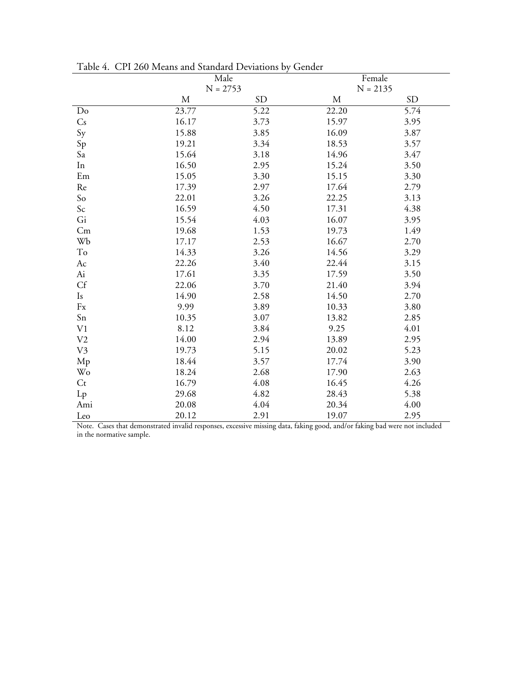|                        |             | Male      | Female     |           |  |  |  |
|------------------------|-------------|-----------|------------|-----------|--|--|--|
|                        | $N = 2753$  |           | $N = 2135$ |           |  |  |  |
|                        | $\mathbf M$ | <b>SD</b> | M          | <b>SD</b> |  |  |  |
| Do                     | 23.77       | 5.22      | 22.20      | 5.74      |  |  |  |
| $\mathsf{C}\mathsf{s}$ | 16.17       | 3.73      | 15.97      | 3.95      |  |  |  |
| Sy                     | 15.88       | 3.85      | 16.09      | 3.87      |  |  |  |
| Sp                     | 19.21       | 3.34      | 18.53      | 3.57      |  |  |  |
| Sa                     | 15.64       | 3.18      | 14.96      | 3.47      |  |  |  |
| In                     | 16.50       | 2.95      | 15.24      | 3.50      |  |  |  |
| $\rm Em$               | 15.05       | 3.30      | 15.15      | 3.30      |  |  |  |
| $\mbox{Re}$            | 17.39       | 2.97      | 17.64      | 2.79      |  |  |  |
| So                     | 22.01       | 3.26      | 22.25      | 3.13      |  |  |  |
| $\mathsf{Sc}$          | 16.59       | 4.50      | 17.31      | 4.38      |  |  |  |
| Gi                     | 15.54       | 4.03      | 16.07      | 3.95      |  |  |  |
| Cm                     | 19.68       | 1.53      | 19.73      | 1.49      |  |  |  |
| Wb                     | 17.17       | 2.53      | 16.67      | 2.70      |  |  |  |
| To                     | 14.33       | 3.26      | 14.56      | 3.29      |  |  |  |
| Ac                     | 22.26       | 3.40      | 22.44      | 3.15      |  |  |  |
| $\hbox{Ai}$            | 17.61       | 3.35      | 17.59      | 3.50      |  |  |  |
| Cf                     | 22.06       | 3.70      | 21.40      | 3.94      |  |  |  |
| Is                     | 14.90       | 2.58      | 14.50      | 2.70      |  |  |  |
| $\mathbf{F}\mathbf{x}$ | 9.99        | 3.89      | 10.33      | 3.80      |  |  |  |
| Sn                     | 10.35       | 3.07      | 13.82      | 2.85      |  |  |  |
| V <sub>1</sub>         | 8.12        | 3.84      | 9.25       | 4.01      |  |  |  |
| V <sub>2</sub>         | 14.00       | 2.94      | 13.89      | 2.95      |  |  |  |
| V <sub>3</sub>         | 19.73       | 5.15      | 20.02      | 5.23      |  |  |  |
| Mp                     | 18.44       | 3.57      | 17.74      | 3.90      |  |  |  |
| <b>Wo</b>              | 18.24       | 2.68      | 17.90      | 2.63      |  |  |  |
| $C_{t}$                | 16.79       | 4.08      | 16.45      | 4.26      |  |  |  |
| Lp                     | 29.68       | 4.82      | 28.43      | 5.38      |  |  |  |
| Ami                    | 20.08       | 4.04      | 20.34      | 4.00      |  |  |  |
| Leo                    | 20.12       | 2.91      | 19.07      | 2.95      |  |  |  |

Table 4. CPI 260 Means and Standard Deviations by Gender

Note. Cases that demonstrated invalid responses, excessive missing data, faking good, and/or faking bad were not included<br>in the normative sample.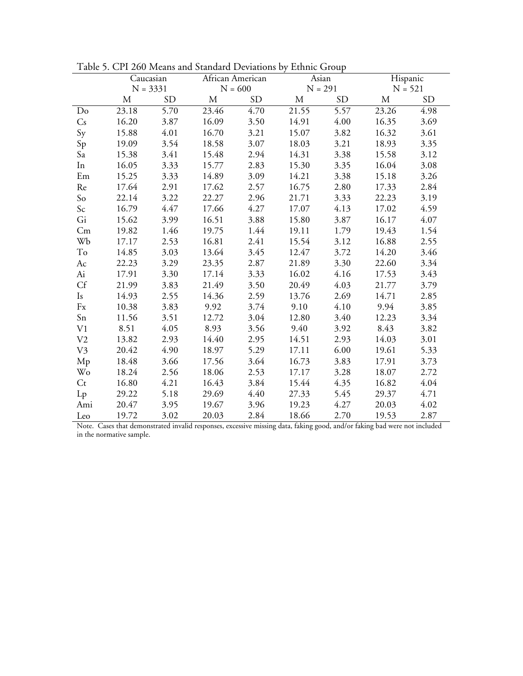|                        | Caucasian<br>$N = 3331$ |           | African American |           | Asian |                   | Hispanic |           |  |
|------------------------|-------------------------|-----------|------------------|-----------|-------|-------------------|----------|-----------|--|
|                        |                         |           |                  | $N = 600$ |       | $N = 291$         |          | $N = 521$ |  |
|                        | М                       | <b>SD</b> | M                | <b>SD</b> | М     | <b>SD</b>         | M        | <b>SD</b> |  |
| Do                     | 23.18                   | 5.70      | 23.46            | 4.70      | 21.55 | $\overline{5.57}$ | 23.26    | 4.98      |  |
| Cs                     | 16.20                   | 3.87      | 16.09            | 3.50      | 14.91 | 4.00              | 16.35    | 3.69      |  |
| Sy                     | 15.88                   | 4.01      | 16.70            | 3.21      | 15.07 | 3.82              | 16.32    | 3.61      |  |
| Sp                     | 19.09                   | 3.54      | 18.58            | 3.07      | 18.03 | 3.21              | 18.93    | 3.35      |  |
| Sa                     | 15.38                   | 3.41      | 15.48            | 2.94      | 14.31 | 3.38              | 15.58    | 3.12      |  |
| In                     | 16.05                   | 3.33      | 15.77            | 2.83      | 15.30 | 3.35              | 16.04    | 3.08      |  |
| Em                     | 15.25                   | 3.33      | 14.89            | 3.09      | 14.21 | 3.38              | 15.18    | 3.26      |  |
| Re                     | 17.64                   | 2.91      | 17.62            | 2.57      | 16.75 | 2.80              | 17.33    | 2.84      |  |
| So                     | 22.14                   | 3.22      | 22.27            | 2.96      | 21.71 | 3.33              | 22.23    | 3.19      |  |
| Sc                     | 16.79                   | 4.47      | 17.66            | 4.27      | 17.07 | 4.13              | 17.02    | 4.59      |  |
| Gi                     | 15.62                   | 3.99      | 16.51            | 3.88      | 15.80 | 3.87              | 16.17    | 4.07      |  |
| Cm                     | 19.82                   | 1.46      | 19.75            | 1.44      | 19.11 | 1.79              | 19.43    | 1.54      |  |
| Wb                     | 17.17                   | 2.53      | 16.81            | 2.41      | 15.54 | 3.12              | 16.88    | 2.55      |  |
| To                     | 14.85                   | 3.03      | 13.64            | 3.45      | 12.47 | 3.72              | 14.20    | 3.46      |  |
| Ac                     | 22.23                   | 3.29      | 23.35            | 2.87      | 21.89 | 3.30              | 22.60    | 3.34      |  |
| Ai                     | 17.91                   | 3.30      | 17.14            | 3.33      | 16.02 | 4.16              | 17.53    | 3.43      |  |
| Cf                     | 21.99                   | 3.83      | 21.49            | 3.50      | 20.49 | 4.03              | 21.77    | 3.79      |  |
| Is                     | 14.93                   | 2.55      | 14.36            | 2.59      | 13.76 | 2.69              | 14.71    | 2.85      |  |
| $\mathbf{F}\mathbf{x}$ | 10.38                   | 3.83      | 9.92             | 3.74      | 9.10  | 4.10              | 9.94     | 3.85      |  |
| Sn                     | 11.56                   | 3.51      | 12.72            | 3.04      | 12.80 | 3.40              | 12.23    | 3.34      |  |
| V <sub>1</sub>         | 8.51                    | 4.05      | 8.93             | 3.56      | 9.40  | 3.92              | 8.43     | 3.82      |  |
| V <sub>2</sub>         | 13.82                   | 2.93      | 14.40            | 2.95      | 14.51 | 2.93              | 14.03    | 3.01      |  |
| V <sub>3</sub>         | 20.42                   | 4.90      | 18.97            | 5.29      | 17.11 | 6.00              | 19.61    | 5.33      |  |
| Mp                     | 18.48                   | 3.66      | 17.56            | 3.64      | 16.73 | 3.83              | 17.91    | 3.73      |  |
| Wo                     | 18.24                   | 2.56      | 18.06            | 2.53      | 17.17 | 3.28              | 18.07    | 2.72      |  |
| Ct                     | 16.80                   | 4.21      | 16.43            | 3.84      | 15.44 | 4.35              | 16.82    | 4.04      |  |
| $L_{p}$                | 29.22                   | 5.18      | 29.69            | 4.40      | 27.33 | 5.45              | 29.37    | 4.71      |  |
| Ami                    | 20.47                   | 3.95      | 19.67            | 3.96      | 19.23 | 4.27              | 20.03    | 4.02      |  |
| I eo                   | 1072                    | 3.02      | 20.03            | 2.84      | 1866  | 2.70              | 1053     | 2.87      |  |

Table 5. CPI 260 Means and Standard Deviations by Ethnic Group

Leo 19.72 3.02 20.03 2.84 18.66 2.70 19.53 2.87<br>Note. Cases that demonstrated invalid responses, excessive missing data, faking good, and/or faking bad were not included<br>in the normative sample.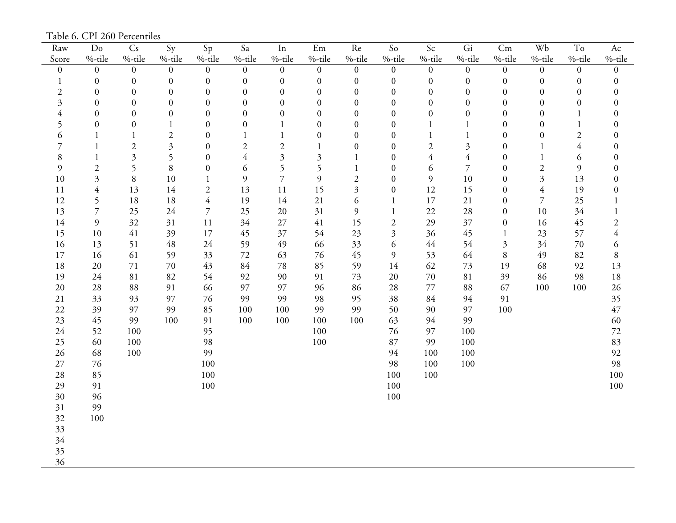Table 6. CPI 260 Percentiles

| Raw              | $\mathrm{Do}$    | $\mathrm{C}\mathrm{s}$ | Sy                      | Sp               | Sa               | $\rm In$         | $\rm Em$         | $\mbox{Re}$               | $\rm So$         | $\mathsf{Sc}$    | Gi               | Cm               | Wb                      | $\operatorname{To}$ | $\mathop{\rm Ac}\nolimits$ |
|------------------|------------------|------------------------|-------------------------|------------------|------------------|------------------|------------------|---------------------------|------------------|------------------|------------------|------------------|-------------------------|---------------------|----------------------------|
| Score            | %-tile           | %-tile                 | $%$ -tile               | $%$ -tile        | %-tile           | %-tile           | %-tile           | %-tile                    | %-tile           | %-tile           | %-tile           | %-tile           | $%$ -tile               | %-tile              | %-tile                     |
| $\boldsymbol{0}$ | $\boldsymbol{0}$ | $\overline{0}$         | $\overline{0}$          | $\mathbf{0}$     | $\overline{0}$   | $\boldsymbol{0}$ | $\overline{0}$   | $\boldsymbol{0}$          | $\overline{0}$   | $\boldsymbol{0}$ | $\boldsymbol{0}$ | $\overline{0}$   | $\mathbf{0}$            | $\mathbf{0}$        | $\boldsymbol{0}$           |
| $\mathbf{1}$     | $\boldsymbol{0}$ | $\boldsymbol{0}$       | $\boldsymbol{0}$        | $\boldsymbol{0}$ | $\boldsymbol{0}$ | $\boldsymbol{0}$ | $\boldsymbol{0}$ | $\boldsymbol{0}$          | $\boldsymbol{0}$ | $\boldsymbol{0}$ | $\boldsymbol{0}$ | $\boldsymbol{0}$ | $\boldsymbol{0}$        | $\boldsymbol{0}$    | $\boldsymbol{0}$           |
| $\boldsymbol{2}$ | $\boldsymbol{0}$ | $\boldsymbol{0}$       | $\boldsymbol{0}$        | $\boldsymbol{0}$ | $\boldsymbol{0}$ | $\boldsymbol{0}$ | $\boldsymbol{0}$ | $\boldsymbol{0}$          | $\boldsymbol{0}$ | $\boldsymbol{0}$ | $\boldsymbol{0}$ | $\boldsymbol{0}$ | $\mathbf{0}$            | $\boldsymbol{0}$    | $\boldsymbol{0}$           |
| $\mathfrak{Z}$   | $\boldsymbol{0}$ | $\overline{0}$         | $\boldsymbol{0}$        | $\boldsymbol{0}$ | $\boldsymbol{0}$ | $\boldsymbol{0}$ | $\boldsymbol{0}$ | 0                         | $\boldsymbol{0}$ | $\boldsymbol{0}$ | $\boldsymbol{0}$ | $\boldsymbol{0}$ | $\boldsymbol{0}$        | $\boldsymbol{0}$    | $\boldsymbol{0}$           |
| $\overline{4}$   | $\boldsymbol{0}$ | $\overline{0}$         | $\boldsymbol{0}$        | $\boldsymbol{0}$ | $\boldsymbol{0}$ | $\boldsymbol{0}$ | $\boldsymbol{0}$ | $\boldsymbol{0}$          | $\boldsymbol{0}$ | $\boldsymbol{0}$ | $\boldsymbol{0}$ | $\overline{0}$   | $\boldsymbol{0}$        | $\mathbf{1}$        | $\boldsymbol{0}$           |
| 5                | $\boldsymbol{0}$ | $\boldsymbol{0}$       | $\mathbf{1}$            | $\boldsymbol{0}$ | $\boldsymbol{0}$ | $\mathbf{1}$     | $\boldsymbol{0}$ | $\boldsymbol{0}$          | $\boldsymbol{0}$ | $\mathbf{1}$     | $\mathbf{1}$     | $\boldsymbol{0}$ | $\boldsymbol{0}$        | $\mathbf{1}$        | $\boldsymbol{0}$           |
| 6                | 1                | 1                      | $\mathbf{2}$            | $\boldsymbol{0}$ | 1                | $\mathbf{1}$     | $\boldsymbol{0}$ | $\mathbf{0}$              | $\boldsymbol{0}$ | $\mathbf{1}$     | $\,1\,$          | $\boldsymbol{0}$ | $\boldsymbol{0}$        | $\sqrt{2}$          | $\boldsymbol{0}$           |
| $\overline{7}$   | $\mathbf{1}$     | $\mathbf{2}$           | $\overline{\mathbf{3}}$ | $\boldsymbol{0}$ | $\mathfrak{2}$   | $\sqrt{2}$       | 1                | $\boldsymbol{0}$          | $\boldsymbol{0}$ | $\overline{2}$   | $\mathfrak{Z}$   | $\boldsymbol{0}$ | $\mathbf{1}$            | $\overline{4}$      | $\boldsymbol{0}$           |
| $8\,$            | $\mathbf{1}$     | $\overline{3}$         | 5                       | $\boldsymbol{0}$ | $\overline{4}$   | $\mathfrak{Z}$   | 3                | $\mathbf{1}$              | $\boldsymbol{0}$ | $\overline{4}$   | $\overline{4}$   | $\boldsymbol{0}$ | $\mathbf{1}$            | 6                   | $\boldsymbol{0}$           |
| 9                | $\sqrt{2}$       | 5                      | $\,8\,$                 | $\boldsymbol{0}$ | 6                | 5                | 5                | $\mathbf{1}$              | $\boldsymbol{0}$ | 6                | $\overline{7}$   | $\overline{0}$   | $\overline{c}$          | 9                   | $\boldsymbol{0}$           |
| $10\,$           | $\mathfrak{Z}$   | $8\,$                  | 10                      | $\mathbf{1}$     | 9                | $\overline{7}$   | 9                | $\overline{c}$            | $\boldsymbol{0}$ | 9                | $10\,$           | $\boldsymbol{0}$ | $\overline{\mathbf{3}}$ | 13                  | $\boldsymbol{0}$           |
| 11               | $\overline{4}$   | 13                     | 14                      | $\sqrt{2}$       | 13               | $11\,$           | 15               | $\overline{\mathfrak{Z}}$ | $\boldsymbol{0}$ | 12               | 15               | $\boldsymbol{0}$ | $\overline{4}$          | 19                  | $\boldsymbol{0}$           |
| 12               | 5                | 18                     | 18                      | $\overline{4}$   | 19               | 14               | 21               | 6                         | $\mathbf{1}$     | $17\,$           | 21               | $\boldsymbol{0}$ | $\overline{7}$          | 25                  | $\mathbf{1}$               |
| 13               | $\overline{7}$   | 25                     | 24                      | $\overline{7}$   | 25               | 20               | 31               | 9                         | $\mathbf{1}$     | 22               | $28\,$           | $\boldsymbol{0}$ | 10                      | 34                  | $\,1$                      |
| 14               | $\mathfrak{g}$   | 32                     | 31                      | 11               | 34               | 27               | 41               | 15                        | $\sqrt{2}$       | 29               | 37               | $\boldsymbol{0}$ | 16                      | 45                  | $\sqrt{2}$                 |
| 15               | 10               | 41                     | 39                      | 17               | 45               | 37               | 54               | 23                        | $\mathfrak{Z}$   | 36               | 45               | $\mathbf{1}$     | 23                      | 57                  | $\overline{4}$             |
| 16               | 13               | 51                     | 48                      | 24               | 59               | 49               | 66               | 33                        | 6                | 44               | 54               | 3                | 34                      | 70                  | 6                          |
| 17               | 16               | 61                     | 59                      | 33               | 72               | 63               | 76               | 45                        | 9                | 53               | 64               | $8\,$            | 49                      | 82                  | $\, 8$                     |
| 18               | 20               | 71                     | 70                      | 43               | 84               | $78\,$           | 85               | 59                        | 14               | 62               | 73               | 19               | 68                      | 92                  | 13                         |
| 19               | 24               | 81                     | 82                      | 54               | 92               | 90               | 91               | 73                        | 20               | 70               | $81\,$           | 39               | 86                      | 98                  | 18                         |
| 20               | 28               | 88                     | 91                      | 66               | 97               | 97               | 96               | 86                        | 28               | 77               | 88               | 67               | 100                     | 100                 | 26                         |
| 21               | 33               | 93                     | 97                      | 76               | 99               | 99               | 98               | 95                        | 38               | 84               | 94               | 91               |                         |                     | 35                         |
| 22               | 39               | 97                     | 99                      | 85               | 100              | 100              | 99               | 99                        | 50               | 90               | 97               | 100              |                         |                     | 47                         |
| 23               | 45               | 99                     | 100                     | 91               | 100              | 100              | 100              | 100                       | 63               | 94               | 99               |                  |                         |                     | 60                         |
| 24               | 52               | 100                    |                         | 95               |                  |                  | 100              |                           | 76               | 97               | 100              |                  |                         |                     | 72                         |
| 25               | 60               | 100                    |                         | 98               |                  |                  | 100              |                           | 87               | 99               | 100              |                  |                         |                     | 83                         |
| 26               | 68               | 100                    |                         | 99               |                  |                  |                  |                           | 94               | 100              | 100              |                  |                         |                     | 92                         |
| $27\,$           | 76               |                        |                         | 100              |                  |                  |                  |                           | 98               | 100              | 100              |                  |                         |                     | 98                         |
| 28               | 85               |                        |                         | 100              |                  |                  |                  |                           | 100              | 100              |                  |                  |                         |                     | 100                        |
| 29               | 91               |                        |                         | 100              |                  |                  |                  |                           | 100              |                  |                  |                  |                         |                     | 100                        |
| 30               | 96               |                        |                         |                  |                  |                  |                  |                           | 100              |                  |                  |                  |                         |                     |                            |
| 31               | 99               |                        |                         |                  |                  |                  |                  |                           |                  |                  |                  |                  |                         |                     |                            |
| 32               | 100              |                        |                         |                  |                  |                  |                  |                           |                  |                  |                  |                  |                         |                     |                            |
| 33               |                  |                        |                         |                  |                  |                  |                  |                           |                  |                  |                  |                  |                         |                     |                            |
| 34               |                  |                        |                         |                  |                  |                  |                  |                           |                  |                  |                  |                  |                         |                     |                            |
| 35               |                  |                        |                         |                  |                  |                  |                  |                           |                  |                  |                  |                  |                         |                     |                            |
| 36               |                  |                        |                         |                  |                  |                  |                  |                           |                  |                  |                  |                  |                         |                     |                            |